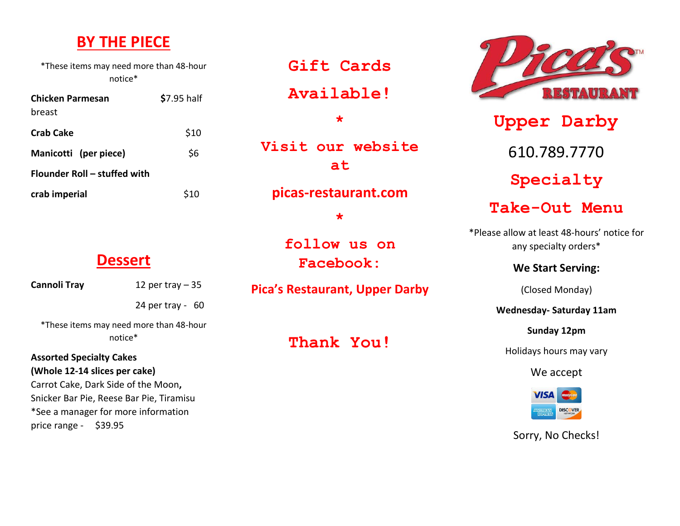## **BY THE PIECE**

\*These items may need more than 48-hour notice\*

| Chicken Parmesan             | \$7.95 half |
|------------------------------|-------------|
| breast                       |             |
| <b>Crab Cake</b>             | \$10        |
| Manicotti (per piece)        | \$6         |
| Flounder Roll – stuffed with |             |
| crab imperial                | \$10        |

**Gift Cards** 

**Available!**

**Visit our website** 

**\***

**at**

**picas-restaurant.com**

**\***

**follow us on Facebook:**

**Pica's Restaurant, Upper Darby**

**Thank You!**



**Upper Darby** 610.789.7770 **Specialty Take-Out Menu**

\*Please allow at least 48-hours' notice for any specialty orders\*

**We Start Serving:**

(Closed Monday)

**Wednesday- Saturday 11am**

**Sunday 12pm**

Holidays hours may vary

We accept



Sorry, No Checks!

#### **Dessert**

**Cannoli Tray** 12 per tray – 35

24 per tray - 60

\*These items may need more than 48-hour notice\*

#### **Assorted Specialty Cakes (Whole 12-14 slices per cake)**

Carrot Cake, Dark Side of the Moon**,** Snicker Bar Pie, Reese Bar Pie, Tiramisu \*See a manager for more information price range - \$39.95